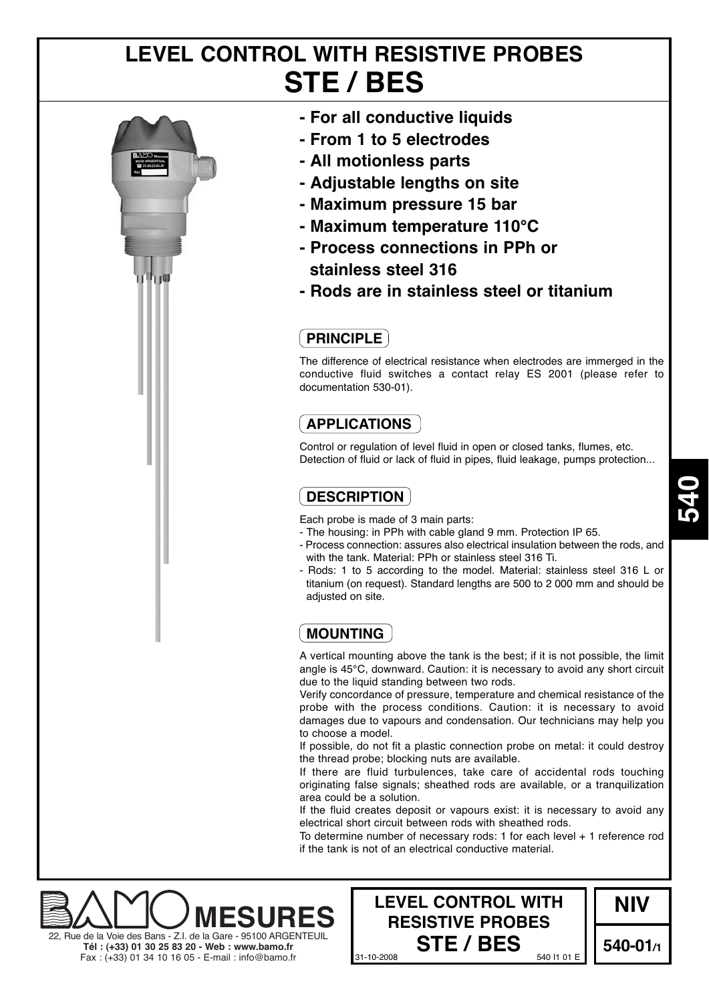# **LEVEL CONTROL WITH RESISTIVE PROBES STE / BES**



- **For all conductive liquids**
- **From 1 to 5 electrodes**
- **All motionless parts**
- **Adjustable lengths on site**
- **Maximum pressure 15 bar**
- **Maximum temperature 110°C**
- **Process connections in PPh or stainless steel 316**
- **Rods are in stainless steel or titanium**

## **PRINCIPLE**

The difference of electrical resistance when electrodes are immerged in the conductive fluid switches a contact relay ES 2001 (please refer to documentation 530-01).

## **APPLICATIONS**

Control or regulation of level fluid in open or closed tanks, flumes, etc. Detection of fluid or lack of fluid in pipes, fluid leakage, pumps protection...

## **DESCRIPTION**

Each probe is made of 3 main parts:

- The housing: in PPh with cable gland 9 mm. Protection IP 65.
- Process connection: assures also electrical insulation between the rods, and with the tank. Material: PPh or stainless steel 316 Ti.
- Rods: 1 to 5 according to the model. Material: stainless steel 316 L or titanium (on request). Standard lengths are 500 to 2 000 mm and should be adjusted on site.

# **MOUNTING**

A vertical mounting above the tank is the best; if it is not possible, the limit angle is 45°C, downward. Caution: it is necessary to avoid any short circuit due to the liquid standing between two rods.

Verify concordance of pressure, temperature and chemical resistance of the probe with the process conditions. Caution: it is necessary to avoid damages due to vapours and condensation. Our technicians may help you to choose a model.

If possible, do not fit a plastic connection probe on metal: it could destroy the thread probe; blocking nuts are available.

If there are fluid turbulences, take care of accidental rods touching originating false signals; sheathed rods are available, or a tranquilization area could be a solution.

If the fluid creates deposit or vapours exist: it is necessary to avoid any electrical short circuit between rods with sheathed rods.

To determine number of necessary rods: 1 for each level + 1 reference rod if the tank is not of an electrical conductive material.





**540**